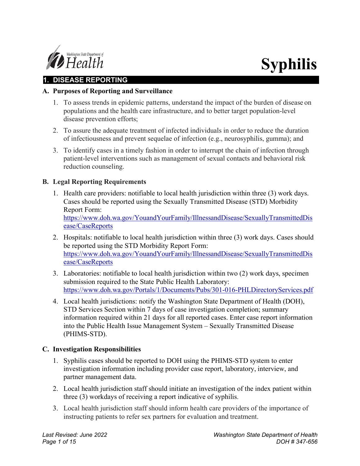

# **Syphilis**

# **1. DISEASE REPORTING**

#### **A. Purposes of Reporting and Surveillance**

- 1. To assess trends in epidemic patterns, understand the impact of the burden of disease on populations and the health care infrastructure, and to better target population-level disease prevention efforts;
- 2. To assure the adequate treatment of infected individuals in order to reduce the duration of infectiousness and prevent sequelae of infection (e.g., neurosyphilis, gumma); and
- 3. To identify cases in a timely fashion in order to interrupt the chain of infection through patient-level interventions such as management of sexual contacts and behavioral risk reduction counseling.

## **B. Legal Reporting Requirements**

1. Health care providers: notifiable to local health jurisdiction within three (3) work days. Cases should be reported using the Sexually Transmitted Disease (STD) Morbidity Report Form:

https://www.doh.wa.gov/YouandYourFamily/IllnessandDisease/SexuallyTransmittedDis ease/CaseReports

- 2. Hospitals: notifiable to local health jurisdiction within three (3) work days. Cases should be reported using the STD Morbidity Report Form: https://www.doh.wa.gov/YouandYourFamily/IllnessandDisease/SexuallyTransmittedDis ease/CaseReports
- 3. Laboratories: notifiable to local health jurisdiction within two (2) work days, specimen submission required to the State Public Health Laboratory: https://www.doh.wa.gov/Portals/1/Documents/Pubs/301-016-PHLDirectoryServices.pdf
- 4. Local health jurisdictions: notify the Washington State Department of Health (DOH), STD Services Section within 7 days of case investigation completion; summary information required within 21 days for all reported cases. Enter case report information into the Public Health Issue Management System – Sexually Transmitted Disease (PHIMS-STD).

#### **C. Investigation Responsibilities**

- 1. Syphilis cases should be reported to DOH using the PHIMS-STD system to enter investigation information including provider case report, laboratory, interview, and partner management data.
- 2. Local health jurisdiction staff should initiate an investigation of the index patient within three (3) workdays of receiving a report indicative of syphilis.
- 3. Local health jurisdiction staff should inform health care providers of the importance of instructing patients to refer sex partners for evaluation and treatment.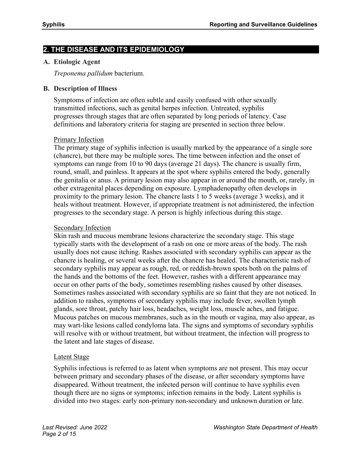# **2. THE DISEASE AND ITS EPIDEMIOLOGY**

#### **A. Etiologic Agent**

*Treponema pallidum* bacterium.

#### **B. Description of Illness**

Symptoms of infection are often subtle and easily confused with other sexually transmitted infections, such as genital herpes infection. Untreated, syphilis progresses through stages that are often separated by long periods of latency. Case definitions and laboratory criteria for staging are presented in section three below.

#### Primary Infection

The primary stage of syphilis infection is usually marked by the appearance of a single sore (chancre), but there may be multiple sores. The time between infection and the onset of symptoms can range from 10 to 90 days (average 21 days). The chancre is usually firm, round, small, and painless. It appears at the spot where syphilis entered the body, generally the genitalia or anus. A primary lesion may also appear in or around the mouth, or, rarely, in other extragenital places depending on exposure. Lymphadenopathy often develops in proximity to the primary lesion. The chancre lasts 1 to 5 weeks (average 3 weeks), and it heals without treatment. However, if appropriate treatment is not administered, the infection progresses to the secondary stage. A person is highly infectious during this stage.

#### Secondary Infection

Skin rash and mucous membrane lesions characterize the secondary stage. This stage typically starts with the development of a rash on one or more areas of the body. The rash usually does not cause itching. Rashes associated with secondary syphilis can appear as the chancre is healing, or several weeks after the chancre has healed. The characteristic rash of secondary syphilis may appear as rough, red, or reddish-brown spots both on the palms of the hands and the bottoms of the feet. However, rashes with a different appearance may occur on other parts of the body, sometimes resembling rashes caused by other diseases. Sometimes rashes associated with secondary syphilis are so faint that they are not noticed. In addition to rashes, symptoms of secondary syphilis may include fever, swollen lymph glands, sore throat, patchy hair loss, headaches, weight loss, muscle aches, and fatigue. Mucous patches on mucous membranes, such as in the mouth or vagina, may also appear, as may wart-like lesions called condyloma lata. The signs and symptoms of secondary syphilis will resolve with or without treatment, but without treatment, the infection will progress to the latent and late stages of disease.

#### Latent Stage

Syphilis infectious is referred to as latent when symptoms are not present. This may occur between primary and secondary phases of the disease, or after secondary symptoms have disappeared. Without treatment, the infected person will continue to have syphilis even though there are no signs or symptoms; infection remains in the body. Latent syphilis is divided into two stages: early non-primary non-secondary and unknown duration or late.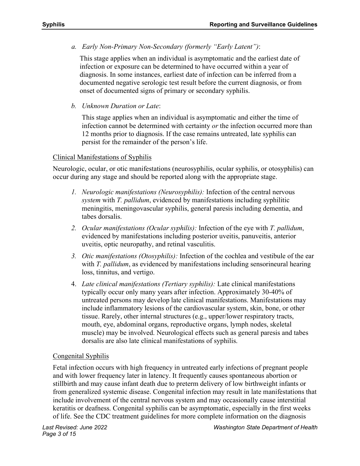*a. Early Non-Primary Non-Secondary (formerly "Early Latent")*:

This stage applies when an individual is asymptomatic and the earliest date of infection or exposure can be determined to have occurred within a year of diagnosis. In some instances, earliest date of infection can be inferred from a documented negative serologic test result before the current diagnosis, or from onset of documented signs of primary or secondary syphilis.

*b. Unknown Duration or Late*:

This stage applies when an individual is asymptomatic and either the time of infection cannot be determined with certainty *or* the infection occurred more than 12 months prior to diagnosis. If the case remains untreated, late syphilis can persist for the remainder of the person's life.

# Clinical Manifestations of Syphilis

Neurologic, ocular, or otic manifestations (neurosyphilis, ocular syphilis, or otosyphilis) can occur during any stage and should be reported along with the appropriate stage.

- *1. Neurologic manifestations (Neurosyphilis):* Infection of the central nervous *system* with *T. pallidum*, evidenced by manifestations including syphilitic meningitis, meningovascular syphilis, general paresis including dementia, and tabes dorsalis.
- *2. Ocular manifestations (Ocular syphilis):* Infection of the eye with *T. pallidum*, evidenced by manifestations including posterior uveitis, panuveitis, anterior uveitis, optic neuropathy, and retinal vasculitis.
- *3. Otic manifestations (Otosyphilis):* Infection of the cochlea and vestibule of the ear with *T. pallidum*, as evidenced by manifestations including sensorineural hearing loss, tinnitus, and vertigo.
- 4. *Late clinical manifestations (Tertiary syphilis):* Late clinical manifestations typically occur only many years after infection. Approximately 30-40% of untreated persons may develop late clinical manifestations. Manifestations may include inflammatory lesions of the cardiovascular system, skin, bone, or other tissue. Rarely, other internal structures (e.g., upper/lower respiratory tracts, mouth, eye, abdominal organs, reproductive organs, lymph nodes, skeletal muscle) may be involved. Neurological effects such as general paresis and tabes dorsalis are also late clinical manifestations of syphilis.

# Congenital Syphilis

Fetal infection occurs with high frequency in untreated early infections of pregnant people and with lower frequency later in latency. It frequently causes spontaneous abortion or stillbirth and may cause infant death due to preterm delivery of low birthweight infants or from generalized systemic disease. Congenital infection may result in late manifestations that include involvement of the central nervous system and may occasionally cause interstitial keratitis or deafness. Congenital syphilis can be asymptomatic, especially in the first weeks of life. See the CDC treatment guidelines for more complete information on the diagnosis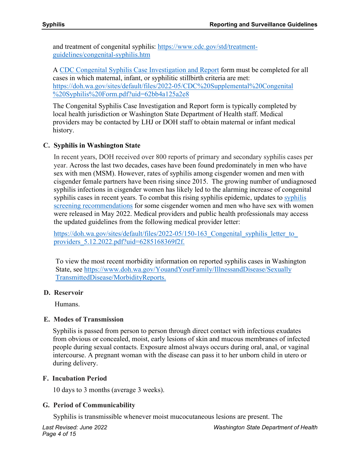and treatment of congenital syphilis: [https://www.cdc.gov/std/treatment](https://www.cdc.gov/std/treatment-guidelines/congenital-syphilis.htm)[guidelines/congenital-syphilis.htm](https://www.cdc.gov/std/treatment-guidelines/congenital-syphilis.htm)

A [CDC Congenital Syphilis Case Investigation and Report f](https://doh.wa.gov/sites/default/files/2022-05/CDC%20Supplemental%20Congenital%20Syphilis%20Form.pdf?uid=62bb4a125a2e8)orm must be completed for all cases in which maternal, infant, or syphilitic stillbirth criteria are met: [https://doh.wa.gov/sites/default/files/2022-05/CDC%20Supplemental%20Congenital](https://doh.wa.gov/sites/default/files/2022-05/CDC%20Supplemental%20Congenital%20Syphilis%20Form.pdf?uid=62bb4a125a2e8) [%20Syphilis%20Form.pdf?uid=62bb4a125a2e8](https://doh.wa.gov/sites/default/files/2022-05/CDC%20Supplemental%20Congenital%20Syphilis%20Form.pdf?uid=62bb4a125a2e8)

The Congenital Syphilis Case Investigation and Report form is typically completed by local health jurisdiction or Washington State Department of Health staff. Medical providers may be contacted by LHJ or DOH staff to obtain maternal or infant medical history.

# **C. Syphilis in Washington State**

In recent years, DOH received over 800 reports of primary and secondary syphilis cases per year. Across the last two decades, cases have been found predominately in men who have sex with men (MSM). However, rates of syphilis among cisgender women and men with cisgender female partners have been rising since 2015. The growing number of undiagnosed syphilis infections in cisgender women has likely led to the alarming increase of congenital syphilis cases in recent years. To combat this rising syphilis epidemic, updates to [syphilis](https://doh.wa.gov/sites/default/files/2022-05/150-163_Congenital_syphilis_letter_to_providers_5.12.2022.pdf?uid=6285168369f2f)  [screening recommendations f](https://doh.wa.gov/sites/default/files/2022-05/150-163_Congenital_syphilis_letter_to_providers_5.12.2022.pdf?uid=6285168369f2f)or some cisgender women and men who have sex with women were released in May 2022. Medical providers and public health professionals may access the updated guidelines from the following medical provider letter:

https://doh.wa.gov/sites/default/files/2022-05/150-163 Congenital syphilis letter to providers 5.12.2022.pdf?uid=6285168369f2f.

To view the most recent morbidity information on reported syphilis cases in Washington State, see [https://www.doh.wa.gov/YouandYourFamily/IllnessandDisease/Sexually](https://www.doh.wa.gov/YouandYourFamily/IllnessandDisease/SexuallyTransmittedDisease/MorbidityReports) [TransmittedDisease/MorbidityReports.](https://www.doh.wa.gov/YouandYourFamily/IllnessandDisease/SexuallyTransmittedDisease/MorbidityReports)

# **D. Reservoir**

Humans.

# **E. Modes of Transmission**

Syphilis is passed from person to person through direct contact with infectious exudates from obvious or concealed, moist, early lesions of skin and mucous membranes of infected people during sexual contacts. Exposure almost always occurs during oral, anal, or vaginal intercourse. A pregnant woman with the disease can pass it to her unborn child in utero or during delivery.

# **F. Incubation Period**

10 days to 3 months (average 3 weeks).

# **G. Period of Communicability**

Syphilis is transmissible whenever moist mucocutaneous lesions are present. The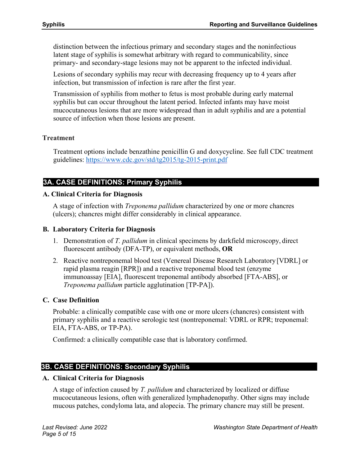distinction between the infectious primary and secondary stages and the noninfectious latent stage of syphilis is somewhat arbitrary with regard to communicability, since primary- and secondary-stage lesions may not be apparent to the infected individual.

Lesions of secondary syphilis may recur with decreasing frequency up to 4 years after infection, but transmission of infection is rare after the first year.

Transmission of syphilis from mother to fetus is most probable during early maternal syphilis but can occur throughout the latent period. Infected infants may have moist mucocutaneous lesions that are more widespread than in adult syphilis and are a potential source of infection when those lesions are present.

#### **Treatment**

Treatment options include benzathine penicillin G and doxycycline. See full CDC treatment guidelines:<https://www.cdc.gov/std/tg2015/tg-2015-print.pdf>

# **3A. CASE DEFINITIONS: Primary Syphilis**

#### **A. Clinical Criteria for Diagnosis**

A stage of infection with *Treponema pallidum* characterized by one or more chancres (ulcers); chancres might differ considerably in clinical appearance.

#### **B. Laboratory Criteria for Diagnosis**

- 1. Demonstration of *T. pallidum* in clinical specimens by darkfield microscopy, direct fluorescent antibody (DFA-TP), or equivalent methods, **OR**
- 2. Reactive nontreponemal blood test (Venereal Disease Research Laboratory [VDRL] or rapid plasma reagin [RPR]) and a reactive treponemal blood test (enzyme immunoassay [EIA], fluorescent treponemal antibody absorbed [FTA-ABS], or *Treponema pallidum* particle agglutination [TP-PA]).

# **C. Case Definition**

Probable: a clinically compatible case with one or more ulcers (chancres) consistent with primary syphilis and a reactive serologic test (nontreponemal: VDRL or RPR; treponemal: EIA, FTA-ABS, or TP-PA).

Confirmed: a clinically compatible case that is laboratory confirmed.

# **3B. CASE DEFINITIONS: Secondary Syphilis**

#### **A. Clinical Criteria for Diagnosis**

A stage of infection caused by *T. pallidum* and characterized by localized or diffuse mucocutaneous lesions, often with generalized lymphadenopathy. Other signs may include mucous patches, condyloma lata, and alopecia. The primary chancre may still be present.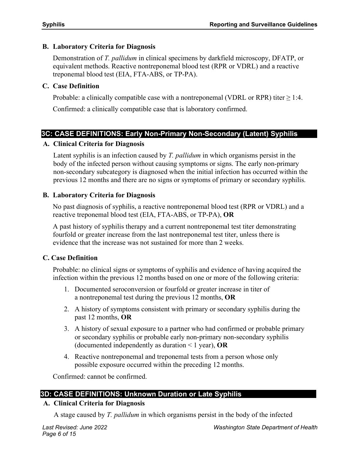# **B. Laboratory Criteria for Diagnosis**

Demonstration of *T. pallidum* in clinical specimens by darkfield microscopy, DFATP, or equivalent methods. Reactive nontreponemal blood test (RPR or VDRL) and a reactive treponemal blood test (EIA, FTA-ABS, or TP-PA).

# **C. Case Definition**

Probable: a clinically compatible case with a nontreponemal (VDRL or RPR) titer  $\geq 1:4$ . Confirmed: a clinically compatible case that is laboratory confirmed.

# **3C: CASE DEFINITIONS: Early Non-Primary Non-Secondary (Latent) Syphilis**

## **A. Clinical Criteria for Diagnosis**

Latent syphilis is an infection caused by *T. pallidum* in which organisms persist in the body of the infected person without causing symptoms or signs. The early non-primary non-secondary subcategory is diagnosed when the initial infection has occurred within the previous 12 months and there are no signs or symptoms of primary or secondary syphilis.

## **B. Laboratory Criteria for Diagnosis**

No past diagnosis of syphilis, a reactive nontreponemal blood test (RPR or VDRL) and a reactive treponemal blood test (EIA, FTA-ABS, or TP-PA), **OR**

A past history of syphilis therapy and a current nontreponemal test titer demonstrating fourfold or greater increase from the last nontreponemal test titer, unless there is evidence that the increase was not sustained for more than 2 weeks.

# **C. Case Definition**

Probable: no clinical signs or symptoms of syphilis and evidence of having acquired the infection within the previous 12 months based on one or more of the following criteria:

- 1. Documented seroconversion or fourfold or greater increase in titer of a nontreponemal test during the previous 12 months, **OR**
- 2. A history of symptoms consistent with primary or secondary syphilis during the past 12 months, **OR**
- 3. A history of sexual exposure to a partner who had confirmed or probable primary or secondary syphilis or probable early non-primary non-secondary syphilis (documented independently as duration < 1 year), **OR**
- 4. Reactive nontreponemal and treponemal tests from a person whose only possible exposure occurred within the preceding 12 months.

Confirmed: cannot be confirmed.

# **3D: CASE DEFINITIONS: Unknown Duration or Late Syphilis**

# **A. Clinical Criteria for Diagnosis**

A stage caused by *T. pallidum* in which organisms persist in the body of the infected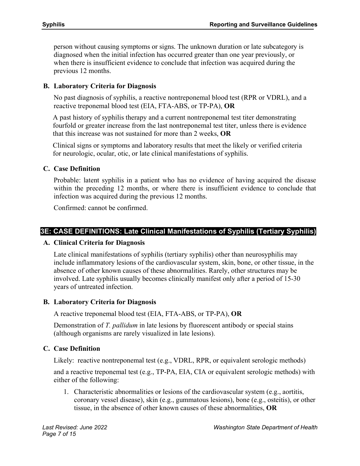person without causing symptoms or signs. The unknown duration or late subcategory is diagnosed when the initial infection has occurred greater than one year previously, or when there is insufficient evidence to conclude that infection was acquired during the previous 12 months.

#### **B. Laboratory Criteria for Diagnosis**

No past diagnosis of syphilis, a reactive nontreponemal blood test (RPR or VDRL), and a reactive treponemal blood test (EIA, FTA-ABS, or TP-PA), **OR**

A past history of syphilis therapy and a current nontreponemal test titer demonstrating fourfold or greater increase from the last nontreponemal test titer, unless there is evidence that this increase was not sustained for more than 2 weeks, **OR**

Clinical signs or symptoms and laboratory results that meet the likely or verified criteria for neurologic, ocular, otic, or late clinical manifestations of syphilis.

#### **C. Case Definition**

Probable: latent syphilis in a patient who has no evidence of having acquired the disease within the preceding 12 months, or where there is insufficient evidence to conclude that infection was acquired during the previous 12 months.

Confirmed: cannot be confirmed.

## **3E: CASE DEFINITIONS: Late Clinical Manifestations of Syphilis (Tertiary Syphilis)**

#### **A. Clinical Criteria for Diagnosis**

Late clinical manifestations of syphilis (tertiary syphilis) other than neurosyphilis may include inflammatory lesions of the cardiovascular system, skin, bone, or other tissue, in the absence of other known causes of these abnormalities. Rarely, other structures may be involved. Late syphilis usually becomes clinically manifest only after a period of 15-30 years of untreated infection.

#### **B. Laboratory Criteria for Diagnosis**

A reactive treponemal blood test (EIA, FTA-ABS, or TP-PA), **OR**

Demonstration of *T. pallidum* in late lesions by fluorescent antibody or special stains (although organisms are rarely visualized in late lesions).

#### **C. Case Definition**

Likely: reactive nontreponemal test (e.g., VDRL, RPR, or equivalent serologic methods)

and a reactive treponemal test (e.g., TP-PA, EIA, CIA or equivalent serologic methods) with either of the following:

1. Characteristic abnormalities or lesions of the cardiovascular system (e.g., aortitis, coronary vessel disease), skin (e.g., gummatous lesions), bone (e.g., osteitis), or other tissue, in the absence of other known causes of these abnormalities, **OR**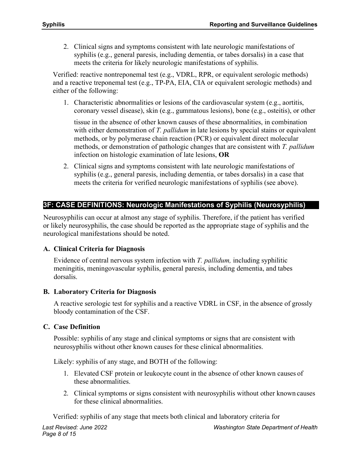2. Clinical signs and symptoms consistent with late neurologic manifestations of syphilis (e.g., general paresis, including dementia, or tabes dorsalis) in a case that meets the criteria for likely neurologic manifestations of syphilis.

Verified: reactive nontreponemal test (e.g., VDRL, RPR, or equivalent serologic methods) and a reactive treponemal test (e.g., TP-PA, EIA, CIA or equivalent serologic methods) and either of the following:

1. Characteristic abnormalities or lesions of the cardiovascular system (e.g., aortitis, coronary vessel disease), skin (e.g., gummatous lesions), bone (e.g., osteitis), or other

tissue in the absence of other known causes of these abnormalities, in combination with either demonstration of *T. pallidum* in late lesions by special stains or equivalent methods, or by polymerase chain reaction (PCR) or equivalent direct molecular methods, or demonstration of pathologic changes that are consistent with *T. pallidum* infection on histologic examination of late lesions, **OR**

2. Clinical signs and symptoms consistent with late neurologic manifestations of syphilis (e.g., general paresis, including dementia, or tabes dorsalis) in a case that meets the criteria for verified neurologic manifestations of syphilis (see above).

# **3F: CASE DEFINITIONS: Neurologic Manifestations of Syphilis (Neurosyphilis)**

Neurosyphilis can occur at almost any stage of syphilis. Therefore, if the patient has verified or likely neurosyphilis, the case should be reported as the appropriate stage of syphilis and the neurological manifestations should be noted.

# **A. Clinical Criteria for Diagnosis**

Evidence of central nervous system infection with *T. pallidum,* including syphilitic meningitis, meningovascular syphilis, general paresis, including dementia, and tabes dorsalis.

# **B. Laboratory Criteria for Diagnosis**

A reactive serologic test for syphilis and a reactive VDRL in CSF, in the absence of grossly bloody contamination of the CSF.

# **C. Case Definition**

Possible: syphilis of any stage and clinical symptoms or signs that are consistent with neurosyphilis without other known causes for these clinical abnormalities.

Likely: syphilis of any stage, and BOTH of the following:

- 1. Elevated CSF protein or leukocyte count in the absence of other known causes of these abnormalities.
- 2. Clinical symptoms or signs consistent with neurosyphilis without other known causes for these clinical abnormalities.

Verified: syphilis of any stage that meets both clinical and laboratory criteria for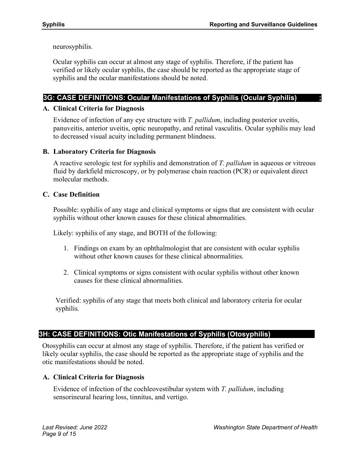neurosyphilis.

Ocular syphilis can occur at almost any stage of syphilis. Therefore, if the patient has verified or likely ocular syphilis, the case should be reported as the appropriate stage of syphilis and the ocular manifestations should be noted.

# **3G: CASE DEFINITIONS: Ocular Manifestations of Syphilis (Ocular Syphilis) ;**

# **A. Clinical Criteria for Diagnosis**

Evidence of infection of any eye structure with *T. pallidum*, including posterior uveitis, panuveitis, anterior uveitis, optic neuropathy, and retinal vasculitis. Ocular syphilis may lead to decreased visual acuity including permanent blindness.

# **B. Laboratory Criteria for Diagnosis**

A reactive serologic test for syphilis and demonstration of *T. pallidum* in aqueous or vitreous fluid by darkfield microscopy, or by polymerase chain reaction (PCR) or equivalent direct molecular methods.

# **C. Case Definition**

Possible: syphilis of any stage and clinical symptoms or signs that are consistent with ocular syphilis without other known causes for these clinical abnormalities.

Likely: syphilis of any stage, and BOTH of the following:

- 1. Findings on exam by an ophthalmologist that are consistent with ocular syphilis without other known causes for these clinical abnormalities.
- 2. Clinical symptoms or signs consistent with ocular syphilis without other known causes for these clinical abnormalities.

Verified: syphilis of any stage that meets both clinical and laboratory criteria for ocular syphilis.

# **3H: CASE DEFINITIONS: Otic Manifestations of Syphilis (Otosyphilis)**

Otosyphilis can occur at almost any stage of syphilis. Therefore, if the patient has verified or likely ocular syphilis, the case should be reported as the appropriate stage of syphilis and the otic manifestations should be noted.

# **A. Clinical Criteria for Diagnosis**

Evidence of infection of the cochleovestibular system with *T. pallidum*, including sensorineural hearing loss, tinnitus, and vertigo.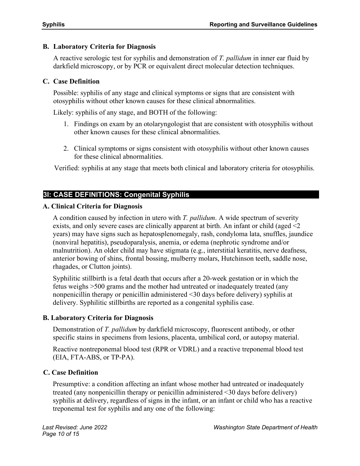# **B. Laboratory Criteria for Diagnosis**

A reactive serologic test for syphilis and demonstration of *T. pallidum* in inner ear fluid by darkfield microscopy, or by PCR or equivalent direct molecular detection techniques.

## **C. Case Definition**

Possible: syphilis of any stage and clinical symptoms or signs that are consistent with otosyphilis without other known causes for these clinical abnormalities.

Likely: syphilis of any stage, and BOTH of the following:

- 1. Findings on exam by an otolaryngologist that are consistent with otosyphilis without other known causes for these clinical abnormalities.
- 2. Clinical symptoms or signs consistent with otosyphilis without other known causes for these clinical abnormalities.

Verified: syphilis at any stage that meets both clinical and laboratory criteria for otosyphilis.

# **3I: CASE DEFINITIONS: Congenital Syphilis**

#### **A. Clinical Criteria for Diagnosis**

A condition caused by infection in utero with *T. pallidum*. A wide spectrum of severity exists, and only severe cases are clinically apparent at birth. An infant or child (aged  $\leq 2$ ) years) may have signs such as hepatosplenomegaly, rash, condyloma lata, snuffles, jaundice (nonviral hepatitis), pseudoparalysis, anemia, or edema (nephrotic syndrome and/or malnutrition). An older child may have stigmata (e.g., interstitial keratitis, nerve deafness, anterior bowing of shins, frontal bossing, mulberry molars, Hutchinson teeth, saddle nose, rhagades, or Clutton joints).

Syphilitic stillbirth is a fetal death that occurs after a 20-week gestation or in which the fetus weighs >500 grams and the mother had untreated or inadequately treated (any nonpenicillin therapy or penicillin administered <30 days before delivery) syphilis at delivery. Syphilitic stillbirths are reported as a congenital syphilis case.

#### **B. Laboratory Criteria for Diagnosis**

Demonstration of *T. pallidum* by darkfield microscopy, fluorescent antibody, or other specific stains in specimens from lesions, placenta, umbilical cord, or autopsy material.

Reactive nontreponemal blood test (RPR or VDRL) and a reactive treponemal blood test (EIA, FTA-ABS, or TP-PA).

# **C. Case Definition**

Presumptive: a condition affecting an infant whose mother had untreated or inadequately treated (any nonpenicillin therapy or penicillin administered <30 days before delivery) syphilis at delivery, regardless of signs in the infant, or an infant or child who has a reactive treponemal test for syphilis and any one of the following: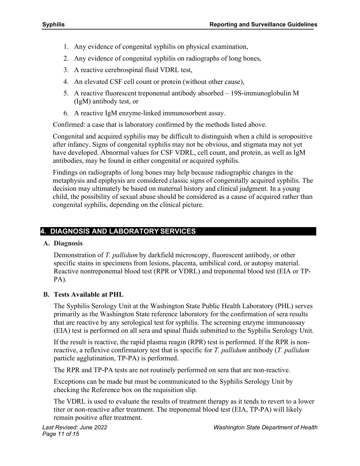- 1. Any evidence of congenital syphilis on physical examination,
- 2. Any evidence of congenital syphilis on radiographs of long bones,
- 3. A reactive cerebrospinal fluid VDRL test,
- 4. An elevated CSF cell count or protein (without other cause),
- 5. A reactive fluorescent treponemal antibody absorbed 19S-immunoglobulin M (IgM) antibody test, or
- 6. A reactive IgM enzyme-linked immunosorbent assay.

Confirmed: a case that is laboratory confirmed by the methods listed above.

Congenital and acquired syphilis may be difficult to distinguish when a child is seropositive after infancy. Signs of congenital syphilis may not be obvious, and stigmata may not yet have developed. Abnormal values for CSF VDRL, cell count, and protein, as well as IgM antibodies, may be found in either congenital or acquired syphilis.

Findings on radiographs of long bones may help because radiographic changes in the metaphysis and epiphysis are considered classic signs of congenitally acquired syphilis. The decision may ultimately be based on maternal history and clinical judgment. In a young child, the possibility of sexual abuse should be considered as a cause of acquired rather than congenital syphilis, depending on the clinical picture.

# **4. DIAGNOSIS AND LABORATORY SERVICES**

# **A. Diagnosis**

Demonstration of *T. pallidum* by darkfield microscopy, fluorescent antibody, or other specific stains in specimens from lesions, placenta, umbilical cord, or autopsy material. Reactive nontreponemal blood test (RPR or VDRL) and treponemal blood test (EIA or TP-PA).

# **B. Tests Available at PHL**

The Syphilis Serology Unit at the Washington State Public Health Laboratory (PHL) serves primarily as the Washington State reference laboratory for the confirmation of sera results that are reactive by any serological test for syphilis. The screening enzyme immunoassay (EIA) test is performed on all sera and spinal fluids submitted to the Syphilis Serology Unit.

If the result is reactive, the rapid plasma reagin (RPR) test is performed. If the RPR is nonreactive, a reflexive confirmatory test that is specific for *T. pallidum* antibody (*T. pallidum* particle agglutination, TP-PA) is performed.

The RPR and TP-PA tests are not routinely performed on sera that are non-reactive.

Exceptions can be made but must be communicated to the Syphilis Serology Unit by checking the Reference box on the requisition slip.

The VDRL is used to evaluate the results of treatment therapy as it tends to revert to a lower titer or non-reactive after treatment. The treponemal blood test (EIA, TP-PA) will likely remain positive after treatment.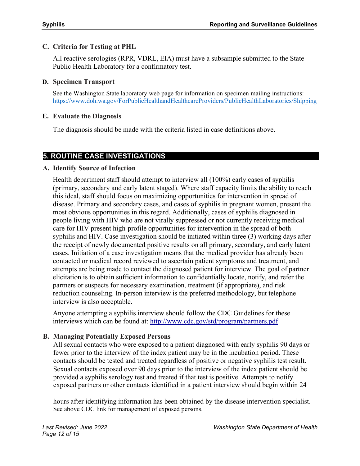#### **C. Criteria for Testing at PHL**

All reactive serologies (RPR, VDRL, EIA) must have a subsample submitted to the State Public Health Laboratory for a confirmatory test.

#### **D. Specimen Transport**

See the Washington State laboratory web page for information on specimen mailing instructions: <https://www.doh.wa.gov/ForPublicHealthandHealthcareProviders/PublicHealthLaboratories/Shipping>

## **E. Evaluate the Diagnosis**

The diagnosis should be made with the criteria listed in case definitions above.

# **5. ROUTINE CASE INVESTIGATIONS**

# **A. Identify Source of Infection**

Health department staff should attempt to interview all (100%) early cases of syphilis (primary, secondary and early latent staged). Where staff capacity limits the ability to reach this ideal, staff should focus on maximizing opportunities for intervention in spread of disease. Primary and secondary cases, and cases of syphilis in pregnant women, present the most obvious opportunities in this regard. Additionally, cases of syphilis diagnosed in people living with HIV who are not virally suppressed or not currently receiving medical care for HIV present high-profile opportunities for intervention in the spread of both syphilis and HIV. Case investigation should be initiated within three (3) working days after the receipt of newly documented positive results on all primary, secondary, and early latent cases. Initiation of a case investigation means that the medical provider has already been contacted or medical record reviewed to ascertain patient symptoms and treatment, and attempts are being made to contact the diagnosed patient for interview. The goal of partner elicitation is to obtain sufficient information to confidentially locate, notify, and refer the partners or suspects for necessary examination, treatment (if appropriate), and risk reduction counseling. In-person interview is the preferred methodology, but telephone interview is also acceptable.

Anyone attempting a syphilis interview should follow the CDC Guidelines for these interviews which can be found at:<http://www.cdc.gov/std/program/partners.pdf>

# **B. Managing Potentially Exposed Persons**

All sexual contacts who were exposed to a patient diagnosed with early syphilis 90 days or fewer prior to the interview of the index patient may be in the incubation period. These contacts should be tested and treated regardless of positive or negative syphilis test result. Sexual contacts exposed over 90 days prior to the interview of the index patient should be provided a syphilis serology test and treated if that test is positive. Attempts to notify exposed partners or other contacts identified in a patient interview should begin within 24

hours after identifying information has been obtained by the disease intervention specialist. See above CDC link for management of exposed persons.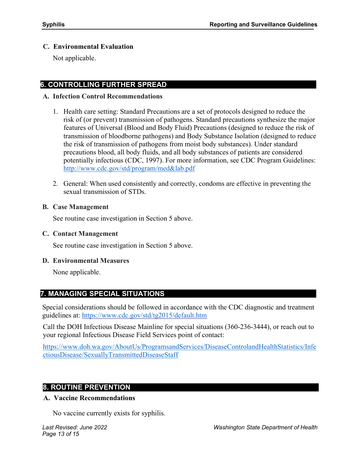#### **C. Environmental Evaluation**

Not applicable.

# **6. CONTROLLING FURTHER SPREAD**

#### **A. Infection Control Recommendations**

- 1. Health care setting: Standard Precautions are a set of protocols designed to reduce the risk of (or prevent) transmission of pathogens. Standard precautions synthesize the major features of Universal (Blood and Body Fluid) Precautions (designed to reduce the risk of transmission of bloodborne pathogens) and Body Substance Isolation (designed to reduce the risk of transmission of pathogens from moist body substances). Under standard precautions blood, all body fluids, and all body substances of patients are considered potentially infectious (CDC, 1997). For more information, see CDC Program Guidelines: <http://www.cdc.gov/std/program/med&lab.pdf>
- 2. General: When used consistently and correctly, condoms are effective in preventing the sexual transmission of STDs.

#### **B. Case Management**

See routine case investigation in Section 5 above.

#### **C. Contact Management**

See routine case investigation in Section 5 above.

#### **D. Environmental Measures**

None applicable.

# **7. MANAGING SPECIAL SITUATIONS**

Special considerations should be followed in accordance with the CDC diagnostic and treatment guidelines at:<https://www.cdc.gov/std/tg2015/default.htm>

Call the DOH Infectious Disease Mainline for special situations (360-236-3444), or reach out to your regional Infectious Disease Field Services point of contact:

[https://www.doh.wa.gov/AboutUs/ProgramsandServices/DiseaseControlandHealthStatistics/Infe](https://www.doh.wa.gov/AboutUs/ProgramsandServices/DiseaseControlandHealthStatistics/InfectiousDisease/SexuallyTransmittedDiseaseStaff) [ctiousDisease/SexuallyTransmittedDiseaseStaff](https://www.doh.wa.gov/AboutUs/ProgramsandServices/DiseaseControlandHealthStatistics/InfectiousDisease/SexuallyTransmittedDiseaseStaff) 

#### **8. ROUTINE PREVENTION**

#### **A. Vaccine Recommendations**

No vaccine currently exists for syphilis.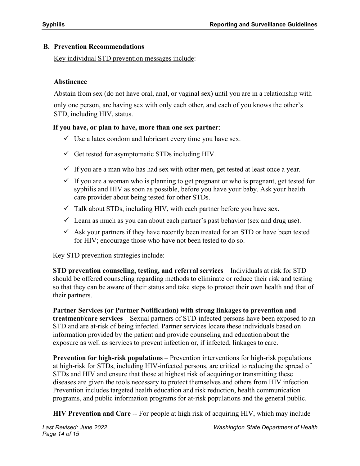## **B. Prevention Recommendations**

#### Key individual STD prevention messages include:

## **Abstinence**

Abstain from sex (do not have oral, anal, or vaginal sex) until you are in a relationship with

only one person, are having sex with only each other, and each of you knows the other's STD, including HIV, status.

## **If you have, or plan to have, more than one sex partner**:

- $\checkmark$  Use a latex condom and lubricant every time you have sex.
- $\checkmark$  Get tested for asymptomatic STDs including HIV.
- $\checkmark$  If you are a man who has had sex with other men, get tested at least once a year.
- $\checkmark$  If you are a woman who is planning to get pregnant or who is pregnant, get tested for syphilis and HIV as soon as possible, before you have your baby. Ask your health care provider about being tested for other STDs.
- $\checkmark$  Talk about STDs, including HIV, with each partner before you have sex.
- $\checkmark$  Learn as much as you can about each partner's past behavior (sex and drug use).
- $\checkmark$  Ask your partners if they have recently been treated for an STD or have been tested for HIV; encourage those who have not been tested to do so.

# Key STD prevention strategies include:

**STD prevention counseling, testing, and referral services** – Individuals at risk for STD should be offered counseling regarding methods to eliminate or reduce their risk and testing so that they can be aware of their status and take steps to protect their own health and that of their partners.

**Partner Services (or Partner Notification) with strong linkages to prevention and treatment/care services** – Sexual partners of STD-infected persons have been exposed to an STD and are at-risk of being infected. Partner services locate these individuals based on information provided by the patient and provide counseling and education about the exposure as well as services to prevent infection or, if infected, linkages to care.

**Prevention for high-risk populations** – Prevention interventions for high-risk populations at high-risk for STDs, including HIV-infected persons, are critical to reducing the spread of STDs and HIV and ensure that those at highest risk of acquiring or transmitting these diseases are given the tools necessary to protect themselves and others from HIV infection. Prevention includes targeted health education and risk reduction, health communication programs, and public information programs for at-risk populations and the general public.

**HIV Prevention and Care** -- For people at high risk of acquiring HIV, which may include